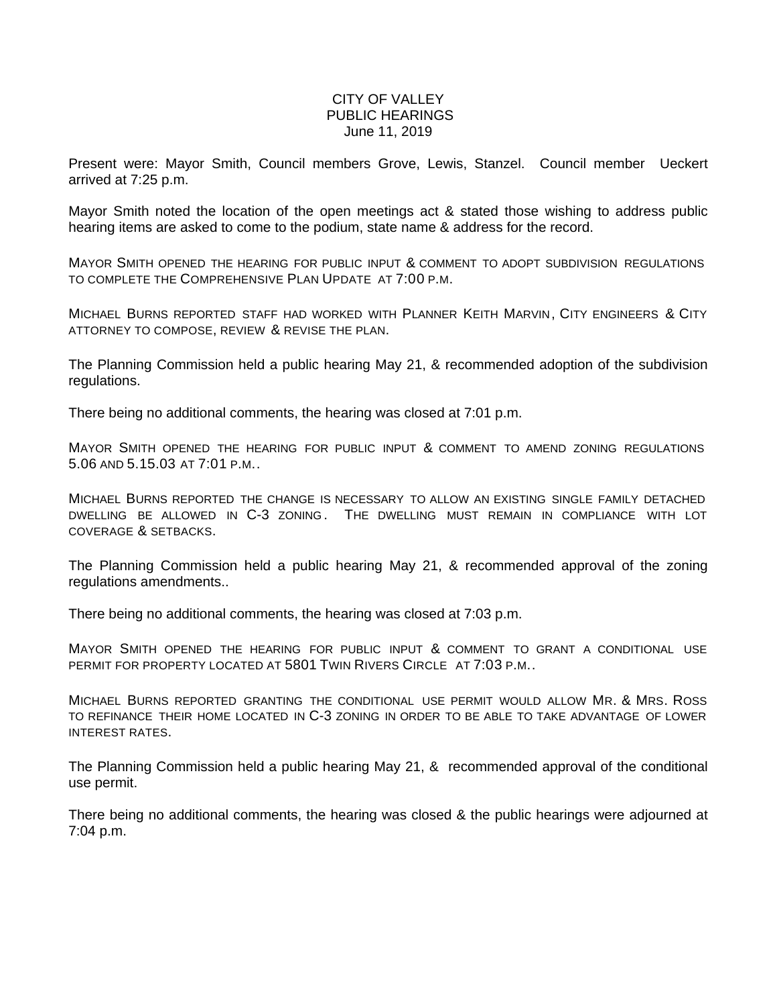## CITY OF VALLEY PUBLIC HEARINGS June 11, 2019

Present were: Mayor Smith, Council members Grove, Lewis, Stanzel. Council member Ueckert arrived at 7:25 p.m.

Mayor Smith noted the location of the open meetings act & stated those wishing to address public hearing items are asked to come to the podium, state name & address for the record.

MAYOR SMITH OPENED THE HEARING FOR PUBLIC INPUT & COMMENT TO ADOPT SUBDIVISION REGULATIONS TO COMPLETE THE COMPREHENSIVE PLAN UPDATE AT 7:00 P.M.

MICHAEL BURNS REPORTED STAFF HAD WORKED WITH PLANNER KEITH MARVIN, CITY ENGINEERS & CITY ATTORNEY TO COMPOSE, REVIEW & REVISE THE PLAN.

The Planning Commission held a public hearing May 21, & recommended adoption of the subdivision regulations.

There being no additional comments, the hearing was closed at 7:01 p.m.

MAYOR SMITH OPENED THE HEARING FOR PUBLIC INPUT & COMMENT TO AMEND ZONING REGULATIONS 5.06 AND 5.15.03 AT 7:01 P.M..

MICHAEL BURNS REPORTED THE CHANGE IS NECESSARY TO ALLOW AN EXISTING SINGLE FAMILY DETACHED DWELLING BE ALLOWED IN C-3 ZONING. THE DWELLING MUST REMAIN IN COMPLIANCE WITH LOT COVERAGE & SETBACKS.

The Planning Commission held a public hearing May 21, & recommended approval of the zoning regulations amendments..

There being no additional comments, the hearing was closed at 7:03 p.m.

MAYOR SMITH OPENED THE HEARING FOR PUBLIC INPUT & COMMENT TO GRANT A CONDITIONAL USE PERMIT FOR PROPERTY LOCATED AT 5801 TWIN RIVERS CIRCLE AT 7:03 P.M..

MICHAEL BURNS REPORTED GRANTING THE CONDITIONAL USE PERMIT WOULD ALLOW MR. & MRS. ROSS TO REFINANCE THEIR HOME LOCATED IN C-3 ZONING IN ORDER TO BE ABLE TO TAKE ADVANTAGE OF LOWER INTEREST RATES.

The Planning Commission held a public hearing May 21, & recommended approval of the conditional use permit.

There being no additional comments, the hearing was closed & the public hearings were adjourned at 7:04 p.m.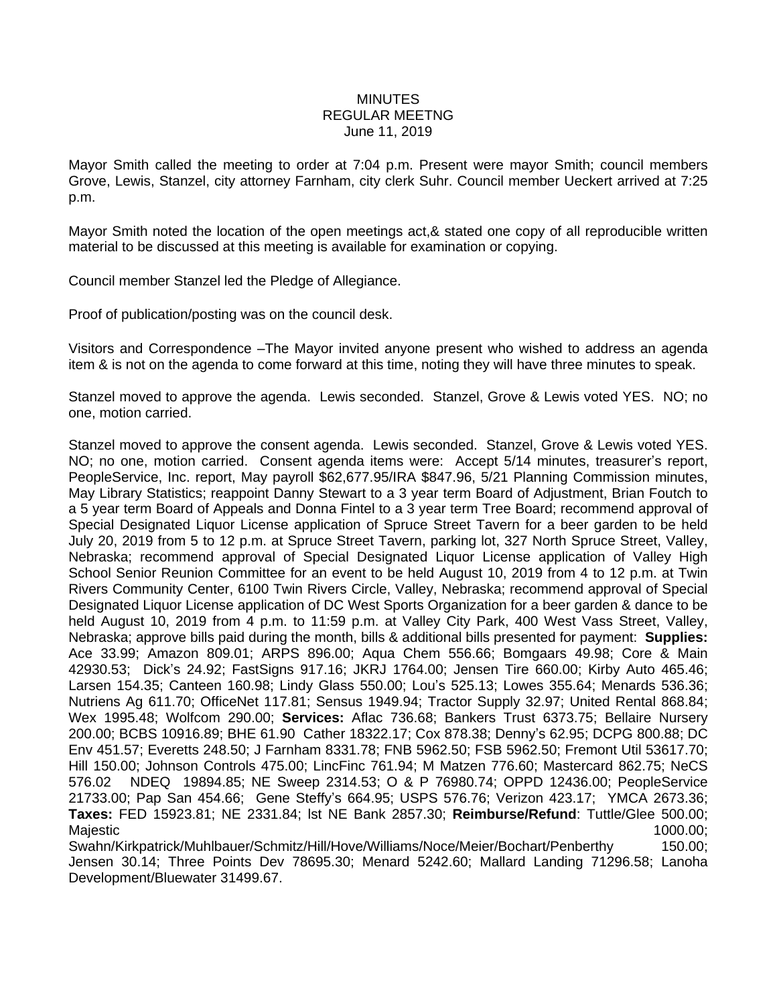## **MINUTES** REGULAR MEETNG June 11, 2019

Mayor Smith called the meeting to order at 7:04 p.m. Present were mayor Smith; council members Grove, Lewis, Stanzel, city attorney Farnham, city clerk Suhr. Council member Ueckert arrived at 7:25 p.m.

Mayor Smith noted the location of the open meetings act,& stated one copy of all reproducible written material to be discussed at this meeting is available for examination or copying.

Council member Stanzel led the Pledge of Allegiance.

Proof of publication/posting was on the council desk.

Visitors and Correspondence –The Mayor invited anyone present who wished to address an agenda item & is not on the agenda to come forward at this time, noting they will have three minutes to speak.

Stanzel moved to approve the agenda. Lewis seconded. Stanzel, Grove & Lewis voted YES. NO; no one, motion carried.

Stanzel moved to approve the consent agenda. Lewis seconded. Stanzel, Grove & Lewis voted YES. NO; no one, motion carried. Consent agenda items were: Accept 5/14 minutes, treasurer's report, PeopleService, Inc. report, May payroll \$62,677.95/IRA \$847.96, 5/21 Planning Commission minutes, May Library Statistics; reappoint Danny Stewart to a 3 year term Board of Adjustment, Brian Foutch to a 5 year term Board of Appeals and Donna Fintel to a 3 year term Tree Board; recommend approval of Special Designated Liquor License application of Spruce Street Tavern for a beer garden to be held July 20, 2019 from 5 to 12 p.m. at Spruce Street Tavern, parking lot, 327 North Spruce Street, Valley, Nebraska; recommend approval of Special Designated Liquor License application of Valley High School Senior Reunion Committee for an event to be held August 10, 2019 from 4 to 12 p.m. at Twin Rivers Community Center, 6100 Twin Rivers Circle, Valley, Nebraska; recommend approval of Special Designated Liquor License application of DC West Sports Organization for a beer garden & dance to be held August 10, 2019 from 4 p.m. to 11:59 p.m. at Valley City Park, 400 West Vass Street, Valley, Nebraska; approve bills paid during the month, bills & additional bills presented for payment: **Supplies:** Ace 33.99; Amazon 809.01; ARPS 896.00; Aqua Chem 556.66; Bomgaars 49.98; Core & Main 42930.53; Dick's 24.92; FastSigns 917.16; JKRJ 1764.00; Jensen Tire 660.00; Kirby Auto 465.46; Larsen 154.35; Canteen 160.98; Lindy Glass 550.00; Lou's 525.13; Lowes 355.64; Menards 536.36; Nutriens Ag 611.70; OfficeNet 117.81; Sensus 1949.94; Tractor Supply 32.97; United Rental 868.84; Wex 1995.48; Wolfcom 290.00; **Services:** Aflac 736.68; Bankers Trust 6373.75; Bellaire Nursery 200.00; BCBS 10916.89; BHE 61.90 Cather 18322.17; Cox 878.38; Denny's 62.95; DCPG 800.88; DC Env 451.57; Everetts 248.50; J Farnham 8331.78; FNB 5962.50; FSB 5962.50; Fremont Util 53617.70; Hill 150.00; Johnson Controls 475.00; LincFinc 761.94; M Matzen 776.60; Mastercard 862.75; NeCS 576.02 NDEQ 19894.85; NE Sweep 2314.53; O & P 76980.74; OPPD 12436.00; PeopleService 21733.00; Pap San 454.66; Gene Steffy's 664.95; USPS 576.76; Verizon 423.17; YMCA 2673.36; **Taxes:** FED 15923.81; NE 2331.84; lst NE Bank 2857.30; **Reimburse/Refund**: Tuttle/Glee 500.00; Majestic the contract of the contract of the contract of the contract of the contract of the contract of the contract of the contract of the contract of the contract of the contract of the contract of the contract of the c

Swahn/Kirkpatrick/Muhlbauer/Schmitz/Hill/Hove/Williams/Noce/Meier/Bochart/Penberthy 150.00; Jensen 30.14; Three Points Dev 78695.30; Menard 5242.60; Mallard Landing 71296.58; Lanoha Development/Bluewater 31499.67.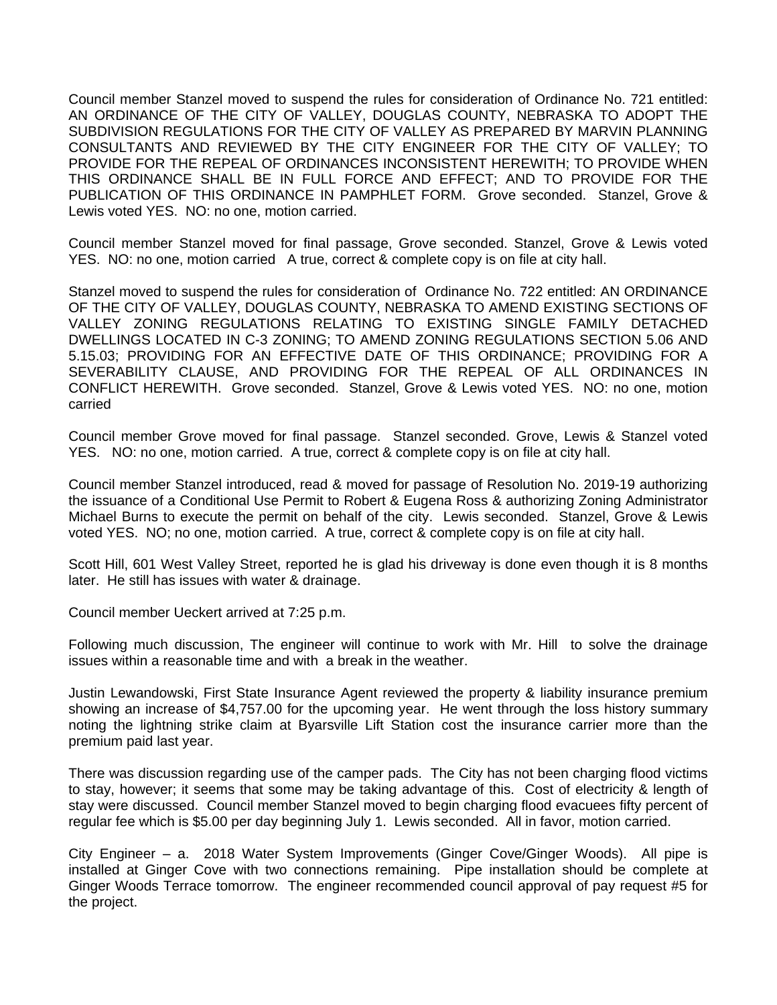Council member Stanzel moved to suspend the rules for consideration of Ordinance No. 721 entitled: AN ORDINANCE OF THE CITY OF VALLEY, DOUGLAS COUNTY, NEBRASKA TO ADOPT THE SUBDIVISION REGULATIONS FOR THE CITY OF VALLEY AS PREPARED BY MARVIN PLANNING CONSULTANTS AND REVIEWED BY THE CITY ENGINEER FOR THE CITY OF VALLEY; TO PROVIDE FOR THE REPEAL OF ORDINANCES INCONSISTENT HEREWITH; TO PROVIDE WHEN THIS ORDINANCE SHALL BE IN FULL FORCE AND EFFECT; AND TO PROVIDE FOR THE PUBLICATION OF THIS ORDINANCE IN PAMPHLET FORM. Grove seconded. Stanzel, Grove & Lewis voted YES. NO: no one, motion carried.

Council member Stanzel moved for final passage, Grove seconded. Stanzel, Grove & Lewis voted YES. NO: no one, motion carried A true, correct & complete copy is on file at city hall.

Stanzel moved to suspend the rules for consideration of Ordinance No. 722 entitled: AN ORDINANCE OF THE CITY OF VALLEY, DOUGLAS COUNTY, NEBRASKA TO AMEND EXISTING SECTIONS OF VALLEY ZONING REGULATIONS RELATING TO EXISTING SINGLE FAMILY DETACHED DWELLINGS LOCATED IN C-3 ZONING; TO AMEND ZONING REGULATIONS SECTION 5.06 AND 5.15.03; PROVIDING FOR AN EFFECTIVE DATE OF THIS ORDINANCE; PROVIDING FOR A SEVERABILITY CLAUSE, AND PROVIDING FOR THE REPEAL OF ALL ORDINANCES IN CONFLICT HEREWITH. Grove seconded. Stanzel, Grove & Lewis voted YES. NO: no one, motion carried

Council member Grove moved for final passage. Stanzel seconded. Grove, Lewis & Stanzel voted YES. NO: no one, motion carried. A true, correct & complete copy is on file at city hall.

Council member Stanzel introduced, read & moved for passage of Resolution No. 2019-19 authorizing the issuance of a Conditional Use Permit to Robert & Eugena Ross & authorizing Zoning Administrator Michael Burns to execute the permit on behalf of the city. Lewis seconded. Stanzel, Grove & Lewis voted YES. NO; no one, motion carried. A true, correct & complete copy is on file at city hall.

Scott Hill, 601 West Valley Street, reported he is glad his driveway is done even though it is 8 months later. He still has issues with water & drainage.

Council member Ueckert arrived at 7:25 p.m.

Following much discussion, The engineer will continue to work with Mr. Hill to solve the drainage issues within a reasonable time and with a break in the weather.

Justin Lewandowski, First State Insurance Agent reviewed the property & liability insurance premium showing an increase of \$4,757.00 for the upcoming year. He went through the loss history summary noting the lightning strike claim at Byarsville Lift Station cost the insurance carrier more than the premium paid last year.

There was discussion regarding use of the camper pads. The City has not been charging flood victims to stay, however; it seems that some may be taking advantage of this. Cost of electricity & length of stay were discussed. Council member Stanzel moved to begin charging flood evacuees fifty percent of regular fee which is \$5.00 per day beginning July 1. Lewis seconded. All in favor, motion carried.

City Engineer – a. 2018 Water System Improvements (Ginger Cove/Ginger Woods). All pipe is installed at Ginger Cove with two connections remaining. Pipe installation should be complete at Ginger Woods Terrace tomorrow. The engineer recommended council approval of pay request #5 for the project.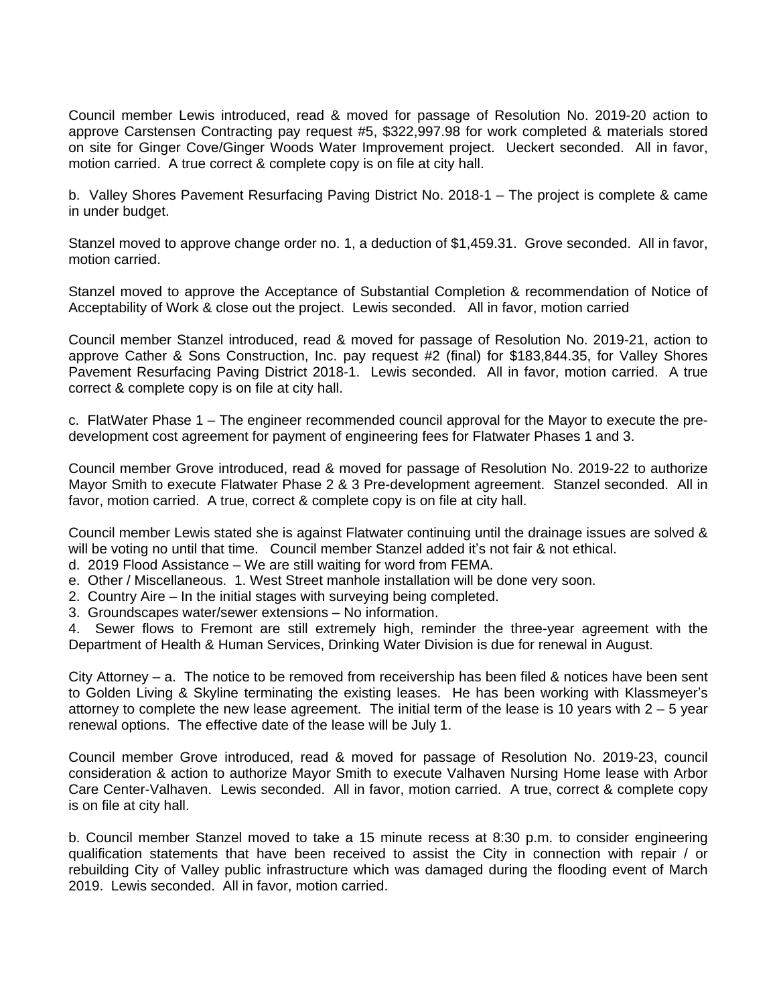Council member Lewis introduced, read & moved for passage of Resolution No. 2019-20 action to approve Carstensen Contracting pay request #5, \$322,997.98 for work completed & materials stored on site for Ginger Cove/Ginger Woods Water Improvement project. Ueckert seconded. All in favor, motion carried. A true correct & complete copy is on file at city hall.

b. Valley Shores Pavement Resurfacing Paving District No. 2018-1 – The project is complete & came in under budget.

Stanzel moved to approve change order no. 1, a deduction of \$1,459.31. Grove seconded. All in favor, motion carried.

Stanzel moved to approve the Acceptance of Substantial Completion & recommendation of Notice of Acceptability of Work & close out the project. Lewis seconded. All in favor, motion carried

Council member Stanzel introduced, read & moved for passage of Resolution No. 2019-21, action to approve Cather & Sons Construction, Inc. pay request #2 (final) for \$183,844.35, for Valley Shores Pavement Resurfacing Paving District 2018-1. Lewis seconded. All in favor, motion carried. A true correct & complete copy is on file at city hall.

c. FlatWater Phase 1 – The engineer recommended council approval for the Mayor to execute the predevelopment cost agreement for payment of engineering fees for Flatwater Phases 1 and 3.

Council member Grove introduced, read & moved for passage of Resolution No. 2019-22 to authorize Mayor Smith to execute Flatwater Phase 2 & 3 Pre-development agreement. Stanzel seconded. All in favor, motion carried. A true, correct & complete copy is on file at city hall.

Council member Lewis stated she is against Flatwater continuing until the drainage issues are solved & will be voting no until that time. Council member Stanzel added it's not fair & not ethical.

- d. 2019 Flood Assistance We are still waiting for word from FEMA.
- e. Other / Miscellaneous. 1. West Street manhole installation will be done very soon.
- 2. Country Aire In the initial stages with surveying being completed.
- 3. Groundscapes water/sewer extensions No information.

4. Sewer flows to Fremont are still extremely high, reminder the three-year agreement with the Department of Health & Human Services, Drinking Water Division is due for renewal in August.

City Attorney – a. The notice to be removed from receivership has been filed & notices have been sent to Golden Living & Skyline terminating the existing leases. He has been working with Klassmeyer's attorney to complete the new lease agreement. The initial term of the lease is 10 years with  $2 - 5$  year renewal options. The effective date of the lease will be July 1.

Council member Grove introduced, read & moved for passage of Resolution No. 2019-23, council consideration & action to authorize Mayor Smith to execute Valhaven Nursing Home lease with Arbor Care Center-Valhaven. Lewis seconded. All in favor, motion carried. A true, correct & complete copy is on file at city hall.

b. Council member Stanzel moved to take a 15 minute recess at 8:30 p.m. to consider engineering qualification statements that have been received to assist the City in connection with repair / or rebuilding City of Valley public infrastructure which was damaged during the flooding event of March 2019. Lewis seconded. All in favor, motion carried.